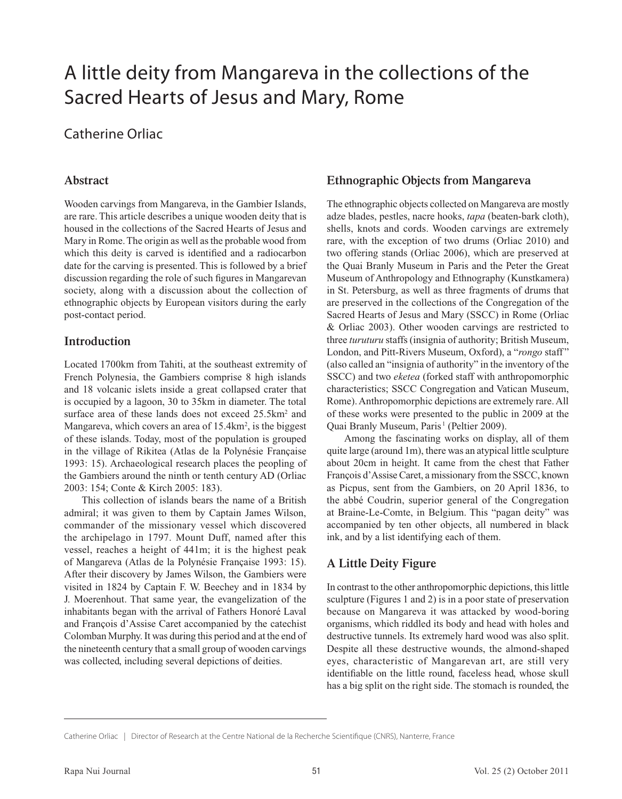# A little deity from Mangareva in the collections of the Sacred Hearts of Jesus and Mary, Rome

# Catherine Orliac

# **Abstract**

Wooden carvings from Mangareva, in the Gambier Islands, are rare. This article describes a unique wooden deity that is housed in the collections of the Sacred Hearts of Jesus and Mary in Rome. The origin as well as the probable wood from which this deity is carved is identified and a radiocarbon date for the carving is presented. This is followed by a brief discussion regarding the role of such figures in Mangarevan society, along with a discussion about the collection of ethnographic objects by European visitors during the early post-contact period.

# **Introduction**

Located 1700km from Tahiti, at the southeast extremity of French Polynesia, the Gambiers comprise 8 high islands and 18 volcanic islets inside a great collapsed crater that is occupied by a lagoon, 30 to 35km in diameter. The total surface area of these lands does not exceed 25.5km<sup>2</sup> and Mangareva, which covers an area of 15.4km<sup>2</sup>, is the biggest of these islands. Today, most of the population is grouped in the village of Rikitea (Atlas de la Polynésie Française 1993: 15). Archaeological research places the peopling of the Gambiers around the ninth or tenth century AD (Orliac 2003: 154; Conte & Kirch 2005: 183).

This collection of islands bears the name of a British admiral; it was given to them by Captain James Wilson, commander of the missionary vessel which discovered the archipelago in 1797. Mount Duff, named after this vessel, reaches a height of 441m; it is the highest peak of Mangareva (Atlas de la Polynésie Française 1993: 15). After their discovery by James Wilson, the Gambiers were visited in 1824 by Captain F. W. Beechey and in 1834 by J. Moerenhout. That same year, the evangelization of the inhabitants began with the arrival of Fathers Honoré Laval and François d'Assise Caret accompanied by the catechist Colomban Murphy. It was during this period and at the end of the nineteenth century that a small group of wooden carvings was collected, including several depictions of deities.

# **Ethnographic Objects from Mangareva**

The ethnographic objects collected on Mangareva are mostly adze blades, pestles, nacre hooks, *tapa* (beaten-bark cloth), shells, knots and cords. Wooden carvings are extremely rare, with the exception of two drums (Orliac 2010) and two offering stands (Orliac 2006), which are preserved at the Quai Branly Museum in Paris and the Peter the Great Museum of Anthropology and Ethnography (Kunstkamera) in St. Petersburg, as well as three fragments of drums that are preserved in the collections of the Congregation of the Sacred Hearts of Jesus and Mary (SSCC) in Rome (Orliac & Orliac 2003). Other wooden carvings are restricted to three *turuturu* staffs (insignia of authority; British Museum, London, and Pitt-Rivers Museum, Oxford), a "*rongo* staff" (also called an "insignia of authority" in the inventory of the SSCC) and two *eketea* (forked staff with anthropomorphic characteristics; SSCC Congregation and Vatican Museum, Rome). Anthropomorphic depictions are extremely rare. All of these works were presented to the public in 2009 at the Quai Branly Museum, Paris<sup>1</sup> (Peltier 2009).

Among the fascinating works on display, all of them quite large (around 1m), there was an atypical little sculpture about 20cm in height. It came from the chest that Father François d'Assise Caret, a missionary from the SSCC, known as Picpus, sent from the Gambiers, on 20 April 1836, to the abbé Coudrin, superior general of the Congregation at Braine-Le-Comte, in Belgium. This "pagan deity" was accompanied by ten other objects, all numbered in black ink, and by a list identifying each of them.

# **A Little Deity Figure**

In contrast to the other anthropomorphic depictions, this little sculpture (Figures 1 and 2) is in a poor state of preservation because on Mangareva it was attacked by wood-boring organisms, which riddled its body and head with holes and destructive tunnels. Its extremely hard wood was also split. Despite all these destructive wounds, the almond-shaped eyes, characteristic of Mangarevan art, are still very identifiable on the little round, faceless head, whose skull has a big split on the right side. The stomach is rounded, the

Catherine Orliac | Director of Research at the Centre National de la Recherche Scientifique (CNRS), Nanterre, France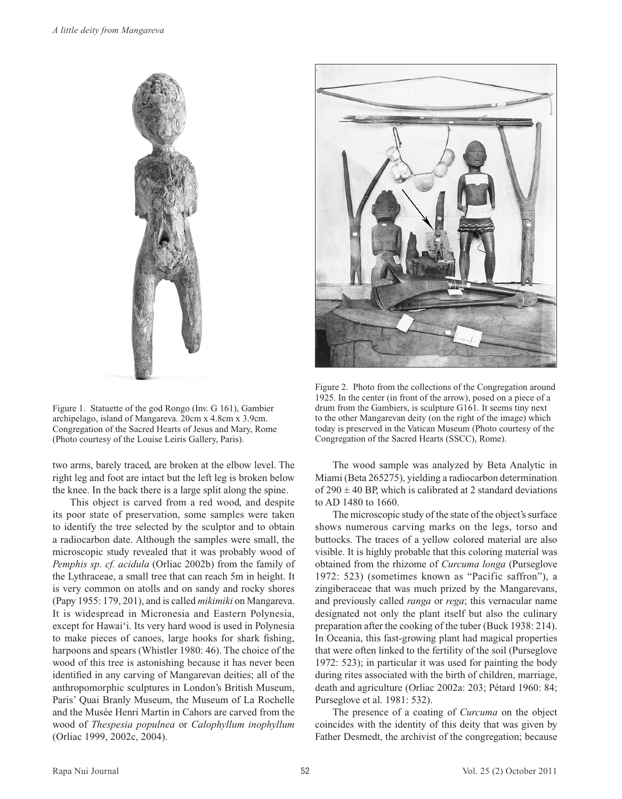

Figure 1. Statuette of the god Rongo (Inv. G 161), Gambier archipelago, island of Mangareva. 20cm x 4.8cm x 3.9cm. Congregation of the Sacred Hearts of Jesus and Mary, Rome (Photo courtesy of the Louise Leiris Gallery, Paris).

two arms, barely traced, are broken at the elbow level. The right leg and foot are intact but the left leg is broken below the knee. In the back there is a large split along the spine.

This object is carved from a red wood, and despite its poor state of preservation, some samples were taken to identify the tree selected by the sculptor and to obtain a radiocarbon date. Although the samples were small, the microscopic study revealed that it was probably wood of *Pemphis sp. cf. acidula* (Orliac 2002b) from the family of the Lythraceae, a small tree that can reach 5m in height. It is very common on atolls and on sandy and rocky shores (Papy 1955: 179, 201), and is called *mikimiki* on Mangareva. It is widespread in Micronesia and Eastern Polynesia, except for Hawai'i. Its very hard wood is used in Polynesia to make pieces of canoes, large hooks for shark fishing, harpoons and spears (Whistler 1980: 46). The choice of the wood of this tree is astonishing because it has never been identified in any carving of Mangarevan deities; all of the anthropomorphic sculptures in London's British Museum, Paris' Quai Branly Museum, the Museum of La Rochelle and the Musée Henri Martin in Cahors are carved from the wood of *Thespesia populnea* or *Calophyllum inophyllum*  (Orliac 1999, 2002c, 2004).



Figure 2. Photo from the collections of the Congregation around 1925. In the center (in front of the arrow), posed on a piece of a drum from the Gambiers, is sculpture G161. It seems tiny next to the other Mangarevan deity (on the right of the image) which today is preserved in the Vatican Museum (Photo courtesy of the Congregation of the Sacred Hearts (SSCC), Rome).

The wood sample was analyzed by Beta Analytic in Miami (Beta 265275), yielding a radiocarbon determination of  $290 \pm 40$  BP, which is calibrated at 2 standard deviations to AD 1480 to 1660.

The microscopic study of the state of the object's surface shows numerous carving marks on the legs, torso and buttocks. The traces of a yellow colored material are also visible. It is highly probable that this coloring material was obtained from the rhizome of *Curcuma longa* (Purseglove 1972: 523) (sometimes known as "Pacific saffron"), a zingiberaceae that was much prized by the Mangarevans, and previously called *ranga* or *rega*; this vernacular name designated not only the plant itself but also the culinary preparation after the cooking of the tuber (Buck 1938: 214). In Oceania, this fast-growing plant had magical properties that were often linked to the fertility of the soil (Purseglove 1972: 523); in particular it was used for painting the body during rites associated with the birth of children, marriage, death and agriculture (Orliac 2002a: 203; Pétard 1960: 84; Purseglove et al. 1981: 532).

The presence of a coating of *Curcuma* on the object coincides with the identity of this deity that was given by Father Desmedt, the archivist of the congregation; because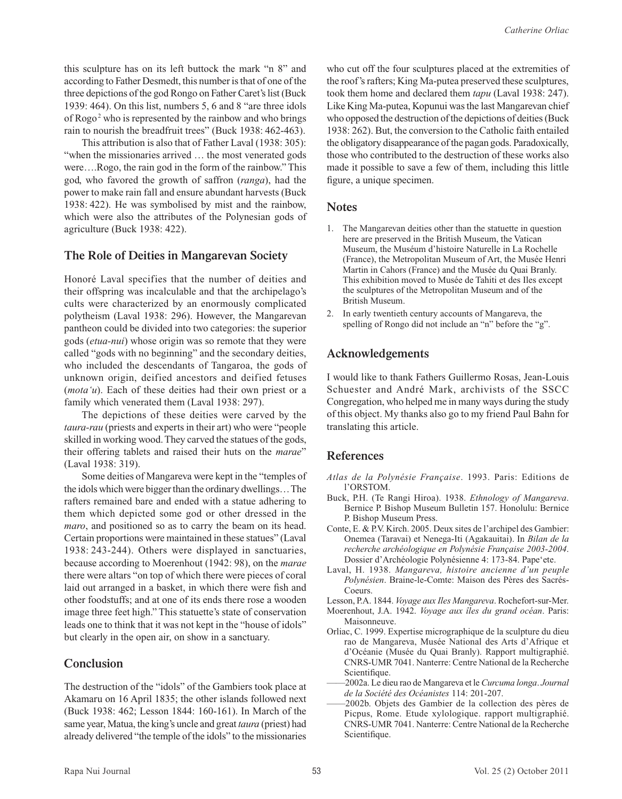this sculpture has on its left buttock the mark "n 8" and according to Father Desmedt, this number is that of one of the three depictions of the god Rongo on Father Caret's list (Buck 1939: 464). On this list, numbers 5, 6 and 8 "are three idols of Rogo<sup>2</sup> who is represented by the rainbow and who brings rain to nourish the breadfruit trees" (Buck 1938: 462-463).

This attribution is also that of Father Laval (1938: 305): "when the missionaries arrived ... the most venerated gods were….Rogo, the rain god in the form of the rainbow." This god, who favored the growth of saffron (*ranga*), had the power to make rain fall and ensure abundant harvests (Buck 1938: 422). He was symbolised by mist and the rainbow, which were also the attributes of the Polynesian gods of agriculture (Buck 1938: 422).

#### **The Role of Deities in Mangarevan Society**

Honoré Laval specifies that the number of deities and their offspring was incalculable and that the archipelago's cults were characterized by an enormously complicated polytheism (Laval 1938: 296). However, the Mangarevan pantheon could be divided into two categories: the superior gods (*etua-nui*) whose origin was so remote that they were called "gods with no beginning" and the secondary deities, who included the descendants of Tangaroa, the gods of unknown origin, deified ancestors and deified fetuses (*mota'u*). Each of these deities had their own priest or a family which venerated them (Laval 1938: 297).

The depictions of these deities were carved by the *taura-rau* (priests and experts in their art) who were "people skilled in working wood. They carved the statues of the gods, their offering tablets and raised their huts on the *marae*" (Laval 1938: 319).

Some deities of Mangareva were kept in the "temples of the idols which were bigger than the ordinary dwellings…The rafters remained bare and ended with a statue adhering to them which depicted some god or other dressed in the *maro*, and positioned so as to carry the beam on its head. Certain proportions were maintained in these statues" (Laval 1938: 243-244). Others were displayed in sanctuaries, because according to Moerenhout (1942: 98), on the *marae* there were altars "on top of which there were pieces of coral laid out arranged in a basket, in which there were fish and other foodstuffs; and at one of its ends there rose a wooden image three feet high." This statuette's state of conservation leads one to think that it was not kept in the "house of idols" but clearly in the open air, on show in a sanctuary.

#### **Conclusion**

The destruction of the "idols" of the Gambiers took place at Akamaru on 16 April 1835; the other islands followed next (Buck 1938: 462; Lesson 1844: 160-161). In March of the same year, Matua, the king's uncle and great *taura* (priest) had already delivered "the temple of the idols" to the missionaries

who cut off the four sculptures placed at the extremities of the roof's rafters; King Ma-putea preserved these sculptures, took them home and declared them *tapu* (Laval 1938: 247). Like King Ma-putea, Kopunui was the last Mangarevan chief who opposed the destruction of the depictions of deities (Buck 1938: 262). But, the conversion to the Catholic faith entailed the obligatory disappearance of the pagan gods. Paradoxically, those who contributed to the destruction of these works also made it possible to save a few of them, including this little figure, a unique specimen.

#### **Notes**

- 1. The Mangarevan deities other than the statuette in question here are preserved in the British Museum, the Vatican Museum, the Muséum d'histoire Naturelle in La Rochelle (France), the Metropolitan Museum of Art, the Musée Henri Martin in Cahors (France) and the Musée du Quai Branly. This exhibition moved to Musée de Tahiti et des Iles except the sculptures of the Metropolitan Museum and of the British Museum.
- 2. In early twentieth century accounts of Mangareva, the spelling of Rongo did not include an "n" before the "g".

# **Acknowledgements**

I would like to thank Fathers Guillermo Rosas, Jean-Louis Schuester and André Mark, archivists of the SSCC Congregation, who helped me in many ways during the study of this object. My thanks also go to my friend Paul Bahn for translating this article.

# **References**

- *Atlas de la Polynésie Française*. 1993. Paris: Editions de l'ORSTOM.
- Buck, P.H. (Te Rangi Hiroa). 1938. *Ethnology of Mangareva*. Bernice P. Bishop Museum Bulletin 157. Honolulu: Bernice P. Bishop Museum Press.
- Conte, E. & P.V. Kirch. 2005. Deux sites de l'archipel des Gambier: Onemea (Taravai) et Nenega-Iti (Agakauitai). In *Bilan de la recherche archéologique en Polynésie Française 2003-2004*. Dossier d'Archéologie Polynésienne 4: 173-84. Pape'ete.
- Laval, H. 1938. *Mangareva, histoire ancienne d'un peuple Polynésien*. Braine-le-Comte: Maison des Pères des Sacrés-Coeurs.
- Lesson, P.A. 1844. *Voyage aux Iles Mangareva*. Rochefort-sur-Mer.
- Moerenhout, J.A. 1942. *Voyage aux îles du grand océan*. Paris: **Maisonneuve**
- Orliac, C. 1999. Expertise micrographique de la sculpture du dieu rao de Mangareva, Musée National des Arts d'Afrique et d'Océanie (Musée du Quai Branly). Rapport multigraphié. CNRS-UMR 7041. Nanterre: Centre National de la Recherche Scientifique.
- ——2002a. Le dieu rao de Mangareva et le *Curcuma longa*. *Journal de la Société des Océanistes* 114: 201-207.
- ——2002b. Objets des Gambier de la collection des pères de Picpus, Rome. Etude xylologique. rapport multigraphié. CNRS-UMR 7041. Nanterre: Centre National de la Recherche Scientifique.